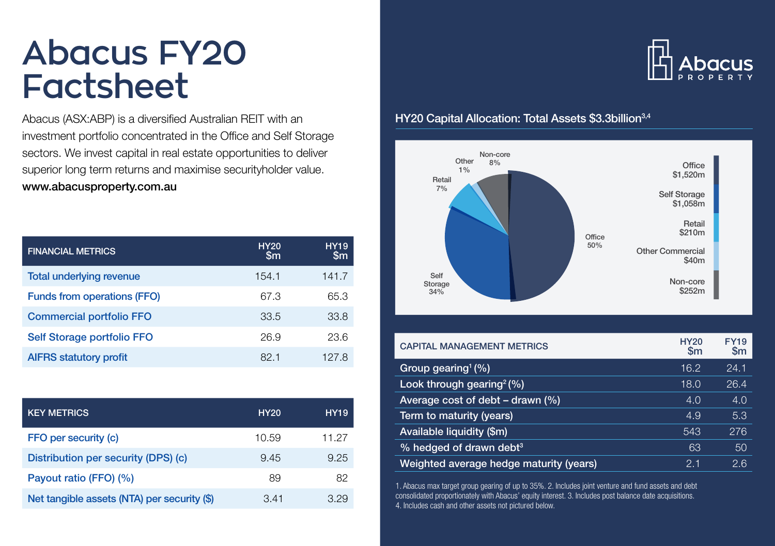## **Abacus FY20 Factsheet**

Abacus (ASX:ABP) is a diversified Australian REIT with an investment portfolio concentrated in the Office and Self Storage sectors. We invest capital in real estate opportunities to deliver superior long term returns and maximise securityholder value. www.abacusproperty.com.au

| <b>FINANCIAL METRICS</b>           | <b>HY20</b><br>$\mathsf{Sm}$ | <b>HY19</b><br>$\mathsf{Sm}$ |
|------------------------------------|------------------------------|------------------------------|
| <b>Total underlying revenue</b>    | 154.1                        | 141.7                        |
| <b>Funds from operations (FFO)</b> | 67.3                         | 65.3                         |
| <b>Commercial portfolio FFO</b>    | 33.5                         | 33.8                         |
| Self Storage portfolio FFO         | 26.9                         | 23.6                         |
| <b>AIFRS statutory profit</b>      | 82.1                         | 127.8                        |

| <b>KEY METRICS</b>                          | <b>HY20</b> | <b>HY19</b> |
|---------------------------------------------|-------------|-------------|
| FFO per security (c)                        | 10.59       | 11.27       |
| Distribution per security (DPS) (c)         | 9.45        | 9.25        |
| Payout ratio (FFO) (%)                      | 89          | 82          |
| Net tangible assets (NTA) per security (\$) | 3.41        | 3.29        |

# ן **ו**

## HY20 Capital Allocation: Total Assets \$3.3billion<sup>3,4</sup>



| <b>CAPITAL MANAGEMENT METRICS</b>       | <b>HY20</b><br>$\mathsf{Sm}$ | <b>FY19</b><br>$\mathsf{Sm}$ |
|-----------------------------------------|------------------------------|------------------------------|
| Group gearing <sup>1</sup> $(\%)$       | 16.2                         | 24.1                         |
| Look through gearing $(%)$              | 18.0                         | 26.4                         |
| Average cost of debt $-$ drawn $(\%)$   | 4.0                          | 4.0                          |
| Term to maturity (years)                | 4.9                          | 5.3                          |
| Available liquidity (\$m)               | 543                          | 276                          |
| % hedged of drawn debt <sup>3</sup>     | 63                           | 50                           |
| Weighted average hedge maturity (years) | 2.1                          | 2.6                          |

1. Abacus max target group gearing of up to 35%. 2. Includes joint venture and fund assets and debt consolidated proportionately with Abacus' equity interest. 3. Includes post balance date acquisitions. 4. Includes cash and other assets not pictured below.